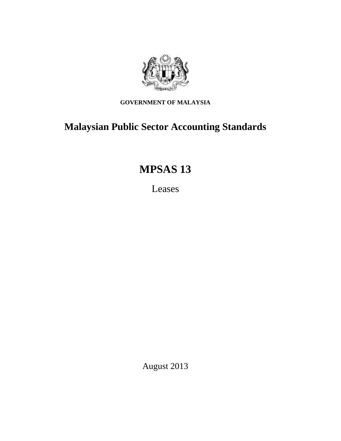

# **GOVERNMENT OF MALAYSIA**

# **Malaysian Public Sector Accounting Standards**

# **MPSAS 13**

Leases

August 2013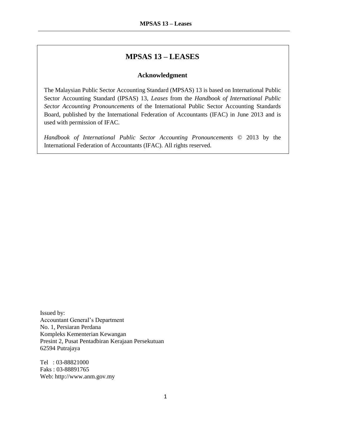## **MPSAS 13 – LEASES**

#### **Acknowledgment**

The Malaysian Public Sector Accounting Standard (MPSAS) 13 is based on International Public Sector Accounting Standard (IPSAS) 13, *Leases* from the *Handbook of International Public Sector Accounting Pronouncements* of the International Public Sector Accounting Standards Board, published by the International Federation of Accountants (IFAC) in June 2013 and is used with permission of IFAC.

*Handbook of International Public Sector Accounting Pronouncements* © 2013 by the International Federation of Accountants (IFAC). All rights reserved.

Issued by: Accountant General's Department No. 1, Persiaran Perdana Kompleks Kementerian Kewangan Presint 2, Pusat Pentadbiran Kerajaan Persekutuan 62594 Putrajaya

Tel : 03-88821000 Faks : 03-88891765 Web: http://www.anm.gov.my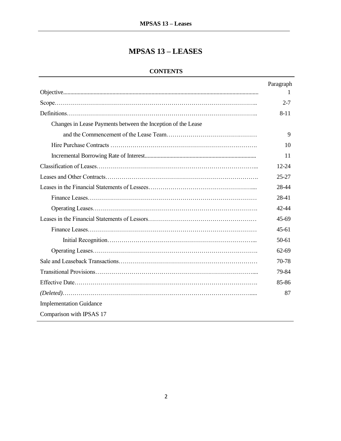# **MPSAS 13 – LEASES**

# **CONTENTS**

|                                                              | Paragraph |
|--------------------------------------------------------------|-----------|
|                                                              |           |
|                                                              | $2 - 7$   |
|                                                              | $8 - 11$  |
| Changes in Lease Payments between the Inception of the Lease |           |
|                                                              | 9         |
|                                                              | 10        |
|                                                              | 11        |
|                                                              | $12 - 24$ |
|                                                              | $25 - 27$ |
|                                                              | 28-44     |
|                                                              | 28-41     |
|                                                              | 42-44     |
|                                                              | 45-69     |
|                                                              | $45 - 61$ |
|                                                              | 50-61     |
|                                                              | 62-69     |
|                                                              | 70-78     |
|                                                              | 79-84     |
|                                                              | 85-86     |
|                                                              | 87        |
| <b>Implementation Guidance</b>                               |           |
| Comparison with IPSAS 17                                     |           |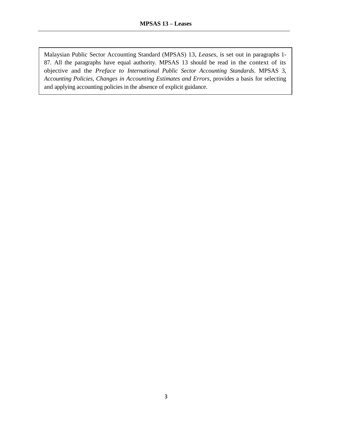Malaysian Public Sector Accounting Standard (MPSAS) 13, *Leases*, is set out in paragraphs 1- 87. All the paragraphs have equal authority. MPSAS 13 should be read in the context of its objective and the *Preface to International Public Sector Accounting Standards*. MPSAS 3, *Accounting Policies, Changes in Accounting Estimates and Errors*, provides a basis for selecting and applying accounting policies in the absence of explicit guidance.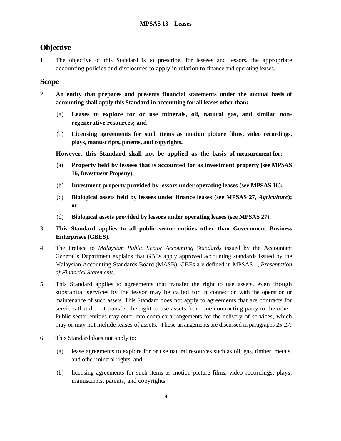# **Objective**

1. The objective of this Standard is to prescribe, for lessees and lessors, the appropriate accounting policies and disclosures to apply in relation to finance and operating leases.

## **Scope**

- 2. **An entity that prepares and presents financial statements under the accrual basis of accounting shall apply this Standard in accounting for all leases other than:** 
	- (a) **Leases to explore for or use minerals, oil, natural gas, and similar nonregenerative resources; and**
	- (b) **Licensing agreements for such items as motion picture films, video recordings, plays, manuscripts, patents, and copyrights.**

**However, this Standard shall not be applied as the basis of measurement for:** 

- (a) **Property held by lessees that is accounted for as investment property (see MPSAS 16,** *Investment Property***);**
- (b) **Investment property provided by lessors under operating leases (see MPSAS 16);**
- (c) **Biological assets held by lessees under finance leases (see MPSAS 27,** *Agriculture***); or**
- (d) **Biological assets provided by lessors under operating leases (see MPSAS 27).**
- 3. **This Standard applies to all public sector entities other than Government Business Enterprises (GBES).**
- 4. The Preface to *Malaysian Public Sector Accounting Standards* issued by the Accountant General's Department explains that GBEs apply approved accounting standards issued by the Malaysian Accounting Standards Board (MASB). GBEs are defined in MPSAS 1, *Presentation of Financial Statements*.
- 5. This Standard applies to agreements that transfer the right to use assets, even though substantial services by the lessor may be called for in connection with the operation or maintenance of such assets. This Standard does not apply to agreements that are contracts for services that do not transfer the right to use assets from one contracting party to the other. Public sector entities may enter into complex arrangements for the delivery of services, which may or may not include leases of assets. These arrangements are discussed in paragraphs 25-27.
- 6. This Standard does not apply to:
	- (a) lease agreements to explore for or use natural resources such as oil, gas, timber, metals, and other mineral rights, and
	- (b) licensing agreements for such items as motion picture films, video recordings, plays, manuscripts, patents, and copyrights.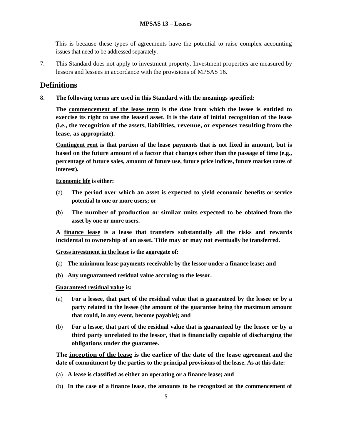This is because these types of agreements have the potential to raise complex accounting issues that need to be addressed separately.

7. This Standard does not apply to investment property. Investment properties are measured by lessors and lessees in accordance with the provisions of MPSAS 16.

# **Definitions**

8. **The following terms are used in this Standard with the meanings specified:**

**The commencement of the lease term is the date from which the lessee is entitled to exercise its right to use the leased asset. It is the date of initial recognition of the lease (i.e., the recognition of the assets, liabilities, revenue, or expenses resulting from the lease, as appropriate).** 

**Contingent rent is that portion of the lease payments that is not fixed in amount, but is based on the future amount of a factor that changes other than the passage of time (e.g., percentage of future sales, amount of future use, future price indices, future market rates of interest).** 

#### **Economic life is either:**

- (a) **The period over which an asset is expected to yield economic benefits or service potential to one or more users; or**
- (b) **The number of production or similar units expected to be obtained from the asset by one or more users.**

**A finance lease is a lease that transfers substantially all the risks and rewards incidental to ownership of an asset. Title may or may not eventually be transferred.** 

**Gross investment in the lease is the aggregate of:** 

- (a) **The minimum lease payments receivable by the lessor under a finance lease; and**
- (b) **Any unguaranteed residual value accruing to the lessor.**

#### **Guaranteed residual value is:**

- (a) **For a lessee, that part of the residual value that is guaranteed by the lessee or by a party related to the lessee (the amount of the guarantee being the maximum amount that could, in any event, become payable); and**
- (b) **For a lessor, that part of the residual value that is guaranteed by the lessee or by a third party unrelated to the lessor, that is financially capable of discharging the obligations under the guarantee.**

**The inception of the lease is the earlier of the date of the lease agreement and the date of commitment by the parties to the principal provisions of the lease. As at this date:** 

- (a) **A lease is classified as either an operating or a finance lease; and**
- (b) **In the case of a finance lease, the amounts to be recognized at the commencement of**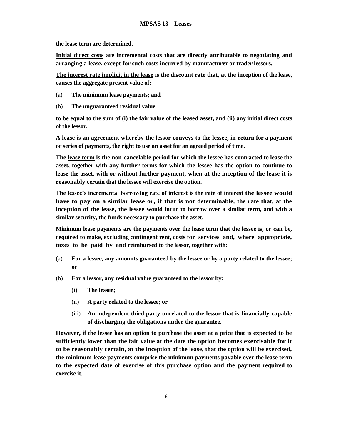**the lease term are determined.** 

**Initial direct costs are incremental costs that are directly attributable to negotiating and arranging a lease, except for such costs incurred by manufacturer or trader lessors.** 

**The interest rate implicit in the lease is the discount rate that, at the inception of the lease, causes the aggregate present value of:** 

- (a) **The minimum lease payments; and**
- (b) **The unguaranteed residual value**

**to be equal to the sum of (i) the fair value of the leased asset, and (ii) any initial direct costs of the lessor.** 

**A lease is an agreement whereby the lessor conveys to the lessee, in return for a payment or series of payments, the right to use an asset for an agreed period of time.** 

**The lease term is the non-cancelable period for which the lessee has contracted to lease the asset, together with any further terms for which the lessee has the option to continue to lease the asset, with or without further payment, when at the inception of the lease it is reasonably certain that the lessee will exercise the option.** 

**The lessee's incremental borrowing rate of interest is the rate of interest the lessee would have to pay on a similar lease or, if that is not determinable, the rate that, at the inception of the lease, the lessee would incur to borrow over a similar term, and with a similar security, the funds necessary to purchase the asset.** 

**Minimum lease payments are the payments over the lease term that the lessee is, or can be, required to make, excluding contingent rent, costs for services and, where appropriate, taxes to be paid by and reimbursed to the lessor, together with:** 

- (a) **For a lessee, any amounts guaranteed by the lessee or by a party related to the lessee; or**
- (b) **For a lessor, any residual value guaranteed to the lessor by:**
	- (i) **The lessee;**
	- (ii) **A party related to the lessee; or**
	- (iii) **An independent third party unrelated to the lessor that is financially capable of discharging the obligations under the guarantee.**

**However, if the lessee has an option to purchase the asset at a price that is expected to be sufficiently lower than the fair value at the date the option becomes exercisable for it to be reasonably certain, at the inception of the lease, that the option will be exercised, the minimum lease payments comprise the minimum payments payable over the lease term to the expected date of exercise of this purchase option and the payment required to exercise it.**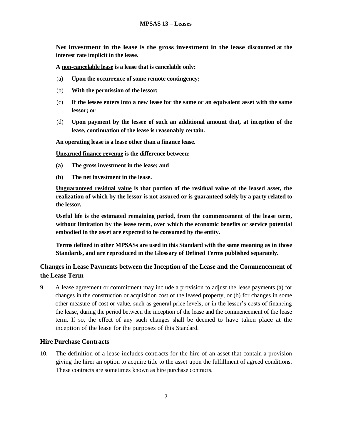**Net investment in the lease is the gross investment in the lease discounted at the interest rate implicit in the lease.** 

**A non-cancelable lease is a lease that is cancelable only:** 

- (a) **Upon the occurrence of some remote contingency;**
- (b) **With the permission of the lessor;**
- (c) **If the lessee enters into a new lease for the same or an equivalent asset with the same lessor; or**
- (d) **Upon payment by the lessee of such an additional amount that, at inception of the lease, continuation of the lease is reasonably certain.**

**An operating lease is a lease other than a finance lease.**

**Unearned finance revenue is the difference between:**

- **(a) The gross investment in the lease; and**
- **(b) The net investment in the lease.**

**Unguaranteed residual value is that portion of the residual value of the leased asset, the realization of which by the lessor is not assured or is guaranteed solely by a party related to the lessor.** 

**Useful life is the estimated remaining period, from the commencement of the lease term, without limitation by the lease term, over which the economic benefits or service potential embodied in the asset are expected to be consumed by the entity.** 

**Terms defined in other MPSASs are used in this Standard with the same meaning as in those Standards, and are reproduced in the Glossary of Defined Terms published separately.** 

## **Changes in Lease Payments between the Inception of the Lease and the Commencement of the Lease Term**

9. A lease agreement or commitment may include a provision to adjust the lease payments (a) for changes in the construction or acquisition cost of the leased property, or (b) for changes in some other measure of cost or value, such as general price levels, or in the lessor's costs of financing the lease, during the period between the inception of the lease and the commencement of the lease term. If so, the effect of any such changes shall be deemed to have taken place at the inception of the lease for the purposes of this Standard.

#### **Hire Purchase Contracts**

10. The definition of a lease includes contracts for the hire of an asset that contain a provision giving the hirer an option to acquire title to the asset upon the fulfillment of agreed conditions. These contracts are sometimes known as hire purchase contracts.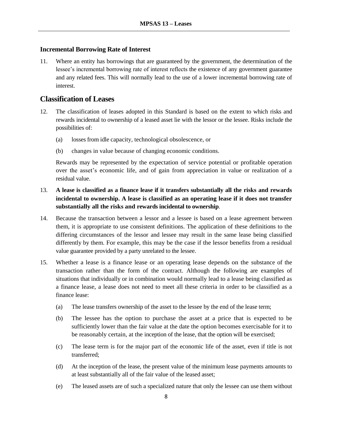#### **Incremental Borrowing Rate of Interest**

11. Where an entity has borrowings that are guaranteed by the government, the determination of the lessee's incremental borrowing rate of interest reflects the existence of any government guarantee and any related fees. This will normally lead to the use of a lower incremental borrowing rate of interest.

## **Classification of Leases**

- 12. The classification of leases adopted in this Standard is based on the extent to which risks and rewards incidental to ownership of a leased asset lie with the lessor or the lessee. Risks include the possibilities of:
	- (a) losses from idle capacity, technological obsolescence, or
	- (b) changes in value because of changing economic conditions.

Rewards may be represented by the expectation of service potential or profitable operation over the asset's economic life, and of gain from appreciation in value or realization of a residual value.

- 13. **A lease is classified as a finance lease if it transfers substantially all the risks and rewards incidental to ownership. A lease is classified as an operating lease if it does not transfer substantially all the risks and rewards incidental to ownership**.
- 14. Because the transaction between a lessor and a lessee is based on a lease agreement between them, it is appropriate to use consistent definitions. The application of these definitions to the differing circumstances of the lessor and lessee may result in the same lease being classified differently by them. For example, this may be the case if the lessor benefits from a residual value guarantee provided by a party unrelated to the lessee.
- 15. Whether a lease is a finance lease or an operating lease depends on the substance of the transaction rather than the form of the contract. Although the following are examples of situations that individually or in combination would normally lead to a lease being classified as a finance lease, a lease does not need to meet all these criteria in order to be classified as a finance lease:
	- (a) The lease transfers ownership of the asset to the lessee by the end of the lease term;
	- (b) The lessee has the option to purchase the asset at a price that is expected to be sufficiently lower than the fair value at the date the option becomes exercisable for it to be reasonably certain, at the inception of the lease, that the option will be exercised;
	- (c) The lease term is for the major part of the economic life of the asset, even if title is not transferred;
	- (d) At the inception of the lease, the present value of the minimum lease payments amounts to at least substantially all of the fair value of the leased asset;
	- (e) The leased assets are of such a specialized nature that only the lessee can use them without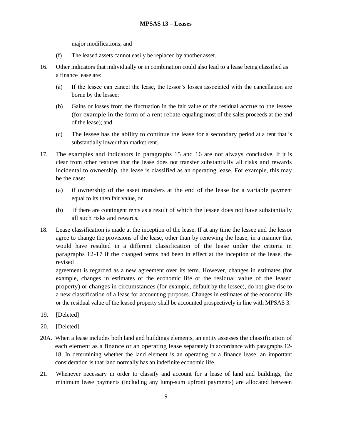major modifications; and

- (f) The leased assets cannot easily be replaced by another asset.
- 16. Other indicators that individually or in combination could also lead to a lease being classified as a finance lease are:
	- (a) If the lessee can cancel the lease, the lessor's losses associated with the cancellation are borne by the lessee;
	- (b) Gains or losses from the fluctuation in the fair value of the residual accrue to the lessee (for example in the form of a rent rebate equaling most of the sales proceeds at the end of the lease); and
	- (c) The lessee has the ability to continue the lease for a secondary period at a rent that is substantially lower than market rent.
- 17. The examples and indicators in paragraphs 15 and 16 are not always conclusive. If it is clear from other features that the lease does not transfer substantially all risks and rewards incidental to ownership, the lease is classified as an operating lease. For example, this may be the case:
	- (a) if ownership of the asset transfers at the end of the lease for a variable payment equal to its then fair value, or
	- (b) if there are contingent rents as a result of which the lessee does not have substantially all such risks and rewards.
- 18. Lease classification is made at the inception of the lease. If at any time the lessee and the lessor agree to change the provisions of the lease, other than by renewing the lease, in a manner that would have resulted in a different classification of the lease under the criteria in paragraphs 12-17 if the changed terms had been in effect at the inception of the lease, the revised

agreement is regarded as a new agreement over its term. However, changes in estimates (for example, changes in estimates of the economic life or the residual value of the leased property) or changes in circumstances (for example, default by the lessee), do not give rise to a new classification of a lease for accounting purposes. Changes in estimates of the economic life or the residual value of the leased property shall be accounted prospectively in line with MPSAS 3.

- 19. [Deleted]
- 20. [Deleted]
- 20A. When a lease includes both land and buildings elements, an entity assesses the classification of each element as a finance or an operating lease separately in accordance with paragraphs 12- 18. In determining whether the land element is an operating or a finance lease, an important consideration is that land normally has an indefinite economic life.
- 21. Whenever necessary in order to classify and account for a lease of land and buildings, the minimum lease payments (including any lump-sum upfront payments) are allocated between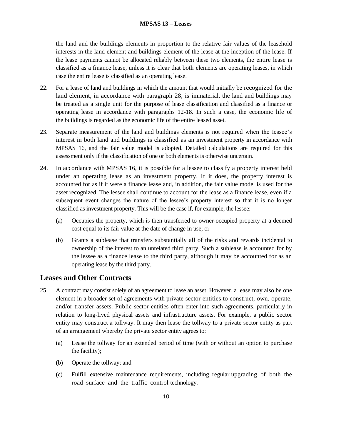the land and the buildings elements in proportion to the relative fair values of the leasehold interests in the land element and buildings element of the lease at the inception of the lease. If the lease payments cannot be allocated reliably between these two elements, the entire lease is classified as a finance lease, unless it is clear that both elements are operating leases, in which case the entire lease is classified as an operating lease.

- 22. For a lease of land and buildings in which the amount that would initially be recognized for the land element, in accordance with paragraph 28, is immaterial, the land and buildings may be treated as a single unit for the purpose of lease classification and classified as a finance or operating lease in accordance with paragraphs 12-18. In such a case, the economic life of the buildings is regarded as the economic life of the entire leased asset.
- 23. Separate measurement of the land and buildings elements is not required when the lessee's interest in both land and buildings is classified as an investment property in accordance with MPSAS 16, and the fair value model is adopted. Detailed calculations are required for this assessment only if the classification of one or both elements is otherwise uncertain.
- 24. In accordance with MPSAS 16, it is possible for a lessee to classify a property interest held under an operating lease as an investment property. If it does, the property interest is accounted for as if it were a finance lease and, in addition, the fair value model is used for the asset recognized. The lessee shall continue to account for the lease as a finance lease, even if a subsequent event changes the nature of the lessee's property interest so that it is no longer classified as investment property. This will be the case if, for example, the lessee:
	- (a) Occupies the property, which is then transferred to owner-occupied property at a deemed cost equal to its fair value at the date of change in use; or
	- (b) Grants a sublease that transfers substantially all of the risks and rewards incidental to ownership of the interest to an unrelated third party. Such a sublease is accounted for by the lessee as a finance lease to the third party, although it may be accounted for as an operating lease by the third party.

## **Leases and Other Contracts**

- 25. A contract may consist solely of an agreement to lease an asset. However, a lease may also be one element in a broader set of agreements with private sector entities to construct, own, operate, and/or transfer assets. Public sector entities often enter into such agreements, particularly in relation to long-lived physical assets and infrastructure assets. For example, a public sector entity may construct a tollway. It may then lease the tollway to a private sector entity as part of an arrangement whereby the private sector entity agrees to:
	- (a) Lease the tollway for an extended period of time (with or without an option to purchase the facility);
	- (b) Operate the tollway; and
	- (c) Fulfill extensive maintenance requirements, including regular upgrading of both the road surface and the traffic control technology.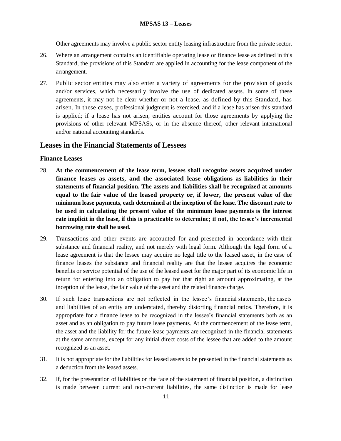Other agreements may involve a public sector entity leasing infrastructure from the private sector.

- 26. Where an arrangement contains an identifiable operating lease or finance lease as defined in this Standard, the provisions of this Standard are applied in accounting for the lease component of the arrangement.
- 27. Public sector entities may also enter a variety of agreements for the provision of goods and/or services, which necessarily involve the use of dedicated assets. In some of these agreements, it may not be clear whether or not a lease, as defined by this Standard, has arisen. In these cases, professional judgment is exercised, and if a lease has arisen this standard is applied; if a lease has not arisen, entities account for those agreements by applying the provisions of other relevant MPSASs, or in the absence thereof, other relevant international and/or national accounting standards.

## **Leases in the Financial Statements of Lessees**

#### **Finance Leases**

- 28. **At the commencement of the lease term, lessees shall recognize assets acquired under finance leases as assets, and the associated lease obligations as liabilities in their statements of financial position. The assets and liabilities shall be recognized at amounts equal to the fair value of the leased property or, if lower, the present value of the minimum lease payments, each determined at the inception of the lease. The discount rate to be used in calculating the present value of the minimum lease payments is the interest rate implicit in the lease, if this is practicable to determine; if not, the lessee's incremental borrowing rate shall be used.**
- 29. Transactions and other events are accounted for and presented in accordance with their substance and financial reality, and not merely with legal form. Although the legal form of a lease agreement is that the lessee may acquire no legal title to the leased asset, in the case of finance leases the substance and financial reality are that the lessee acquires the economic benefits or service potential of the use of the leased asset for the major part of its economic life in return for entering into an obligation to pay for that right an amount approximating, at the inception of the lease, the fair value of the asset and the related finance charge.
- 30. If such lease transactions are not reflected in the lessee's financial statements, the assets and liabilities of an entity are understated, thereby distorting financial ratios. Therefore, it is appropriate for a finance lease to be recognized in the lessee's financial statements both as an asset and as an obligation to pay future lease payments. At the commencement of the lease term, the asset and the liability for the future lease payments are recognized in the financial statements at the same amounts, except for any initial direct costs of the lessee that are added to the amount recognized as an asset.
- 31. It is not appropriate for the liabilities for leased assets to be presented in the financial statements as a deduction from the leased assets.
- 32. If, for the presentation of liabilities on the face of the statement of financial position, a distinction is made between current and non-current liabilities, the same distinction is made for lease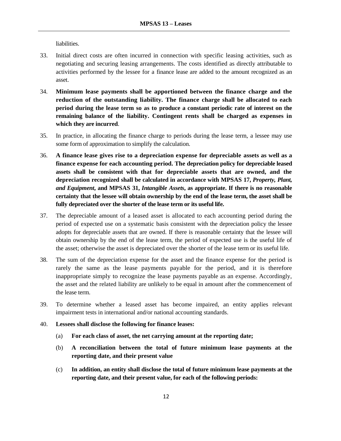liabilities.

- 33. Initial direct costs are often incurred in connection with specific leasing activities, such as negotiating and securing leasing arrangements. The costs identified as directly attributable to activities performed by the lessee for a finance lease are added to the amount recognized as an asset.
- 34. **Minimum lease payments shall be apportioned between the finance charge and the reduction of the outstanding liability. The finance charge shall be allocated to each period during the lease term so as to produce a constant periodic rate of interest on the remaining balance of the liability. Contingent rents shall be charged as expenses in which they are incurred**.
- 35. In practice, in allocating the finance charge to periods during the lease term, a lessee may use some form of approximation to simplify the calculation.
- 36. **A finance lease gives rise to a depreciation expense for depreciable assets as well as a finance expense for each accounting period. The depreciation policy for depreciable leased assets shall be consistent with that for depreciable assets that are owned, and the depreciation recognized shall be calculated in accordance with MPSAS 17,** *Property, Plant, and Equipment***, and MPSAS 31,** *Intangible Assets***, as appropriate. If there is no reasonable certainty that the lessee will obtain ownership by the end of the lease term, the asset shall be fully depreciated over the shorter of the lease term or its useful life.**
- 37. The depreciable amount of a leased asset is allocated to each accounting period during the period of expected use on a systematic basis consistent with the depreciation policy the lessee adopts for depreciable assets that are owned. If there is reasonable certainty that the lessee will obtain ownership by the end of the lease term, the period of expected use is the useful life of the asset; otherwise the asset is depreciated over the shorter of the lease term or its useful life.
- 38. The sum of the depreciation expense for the asset and the finance expense for the period is rarely the same as the lease payments payable for the period, and it is therefore inappropriate simply to recognize the lease payments payable as an expense. Accordingly, the asset and the related liability are unlikely to be equal in amount after the commencement of the lease term.
- 39. To determine whether a leased asset has become impaired, an entity applies relevant impairment tests in international and/or national accounting standards.
- 40. **Lessees shall disclose the following for finance leases:**
	- (a) **For each class of asset, the net carrying amount at the reporting date;**
	- (b) **A reconciliation between the total of future minimum lease payments at the reporting date, and their present value**
	- (c) **In addition, an entity shall disclose the total of future minimum lease payments at the reporting date, and their present value, for each of the following periods:**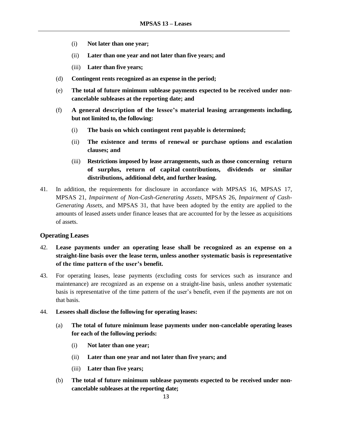- (i) **Not later than one year;**
- (ii) **Later than one year and not later than five years; and**
- (iii) **Later than five years;**
- (d) **Contingent rents recognized as an expense in the period;**
- (e) **The total of future minimum sublease payments expected to be received under noncancelable subleases at the reporting date; and**
- (f) **A general description of the lessee's material leasing arrangements including, but not limited to, the following:** 
	- (i) **The basis on which contingent rent payable is determined;**
	- (ii) **The existence and terms of renewal or purchase options and escalation clauses; and**
	- (iii) **Restrictions imposed by lease arrangements, such as those concerning return of surplus, return of capital contributions, dividends or similar distributions, additional debt, and further leasing.**
- 41. In addition, the requirements for disclosure in accordance with MPSAS 16, MPSAS 17, MPSAS 21, *Impairment of Non-Cash-Generating Assets*, MPSAS 26, *Impairment of Cash-Generating Assets*, and MPSAS 31, that have been adopted by the entity are applied to the amounts of leased assets under finance leases that are accounted for by the lessee as acquisitions of assets.

#### **Operating Leases**

- 42. **Lease payments under an operating lease shall be recognized as an expense on a straight-line basis over the lease term, unless another systematic basis is representative of the time pattern of the user's benefit.**
- 43. For operating leases, lease payments (excluding costs for services such as insurance and maintenance) are recognized as an expense on a straight-line basis, unless another systematic basis is representative of the time pattern of the user's benefit, even if the payments are not on that basis.
- 44. **Lessees shall disclose the following for operating leases:**
	- (a) **The total of future minimum lease payments under non-cancelable operating leases for each of the following periods:**
		- (i) **Not later than one year;**
		- (ii) **Later than one year and not later than five years; and**
		- (iii) **Later than five years;**
	- (b) **The total of future minimum sublease payments expected to be received under noncancelable subleases at the reporting date;**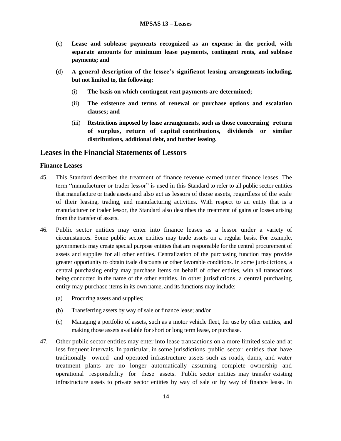- (c) **Lease and sublease payments recognized as an expense in the period, with separate amounts for minimum lease payments, contingent rents, and sublease payments; and**
- (d) **A general description of the lessee's significant leasing arrangements including, but not limited to, the following:** 
	- (i) **The basis on which contingent rent payments are determined;**
	- (ii) **The existence and terms of renewal or purchase options and escalation clauses; and**
	- (iii) **Restrictions imposed by lease arrangements, such as those concerning return of surplus, return of capital contributions, dividends or similar distributions, additional debt, and further leasing.**

### **Leases in the Financial Statements of Lessors**

#### **Finance Leases**

- 45. This Standard describes the treatment of finance revenue earned under finance leases. The term "manufacturer or trader lessor" is used in this Standard to refer to all public sector entities that manufacture or trade assets and also act as lessors of those assets, regardless of the scale of their leasing, trading, and manufacturing activities. With respect to an entity that is a manufacturer or trader lessor, the Standard also describes the treatment of gains or losses arising from the transfer of assets.
- 46. Public sector entities may enter into finance leases as a lessor under a variety of circumstances. Some public sector entities may trade assets on a regular basis. For example, governments may create special purpose entities that are responsible for the central procurement of assets and supplies for all other entities. Centralization of the purchasing function may provide greater opportunity to obtain trade discounts or other favorable conditions. In some jurisdictions, a central purchasing entity may purchase items on behalf of other entities, with all transactions being conducted in the name of the other entities. In other jurisdictions, a central purchasing entity may purchase items in its own name, and its functions may include:
	- (a) Procuring assets and supplies;
	- (b) Transferring assets by way of sale or finance lease; and/or
	- (c) Managing a portfolio of assets, such as a motor vehicle fleet, for use by other entities, and making those assets available for short or long term lease, or purchase.
- 47. Other public sector entities may enter into lease transactions on a more limited scale and at less frequent intervals. In particular, in some jurisdictions public sector entities that have traditionally owned and operated infrastructure assets such as roads, dams, and water treatment plants are no longer automatically assuming complete ownership and operational responsibility for these assets. Public sector entities may transfer existing infrastructure assets to private sector entities by way of sale or by way of finance lease. In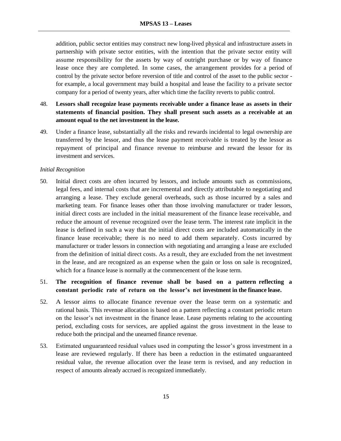addition, public sector entities may construct new long-lived physical and infrastructure assets in partnership with private sector entities, with the intention that the private sector entity will assume responsibility for the assets by way of outright purchase or by way of finance lease once they are completed. In some cases, the arrangement provides for a period of control by the private sector before reversion of title and control of the asset to the public sector for example, a local government may build a hospital and lease the facility to a private sector company for a period of twenty years, after which time the facility reverts to public control.

- 48. **Lessors shall recognize lease payments receivable under a finance lease as assets in their statements of financial position. They shall present such assets as a receivable at an amount equal to the net investment in the lease.**
- 49. Under a finance lease, substantially all the risks and rewards incidental to legal ownership are transferred by the lessor, and thus the lease payment receivable is treated by the lessor as repayment of principal and finance revenue to reimburse and reward the lessor for its investment and services.

#### *Initial Recognition*

50. Initial direct costs are often incurred by lessors, and include amounts such as commissions, legal fees, and internal costs that are incremental and directly attributable to negotiating and arranging a lease. They exclude general overheads, such as those incurred by a sales and marketing team. For finance leases other than those involving manufacturer or trader lessors, initial direct costs are included in the initial measurement of the finance lease receivable, and reduce the amount of revenue recognized over the lease term. The interest rate implicit in the lease is defined in such a way that the initial direct costs are included automatically in the finance lease receivable; there is no need to add them separately. Costs incurred by manufacturer or trader lessors in connection with negotiating and arranging a lease are excluded from the definition of initial direct costs. As a result, they are excluded from the net investment in the lease, and are recognized as an expense when the gain or loss on sale is recognized, which for a finance lease is normally at the commencement of the lease term.

## 51. **The recognition of finance revenue shall be based on a pattern reflecting a constant periodic rate of return on the lessor's net investment in the finance lease.**

- 52. A lessor aims to allocate finance revenue over the lease term on a systematic and rational basis. This revenue allocation is based on a pattern reflecting a constant periodic return on the lessor's net investment in the finance lease. Lease payments relating to the accounting period, excluding costs for services, are applied against the gross investment in the lease to reduce both the principal and the unearned finance revenue.
- 53. Estimated unguaranteed residual values used in computing the lessor's gross investment in a lease are reviewed regularly. If there has been a reduction in the estimated unguaranteed residual value, the revenue allocation over the lease term is revised, and any reduction in respect of amounts already accrued is recognized immediately.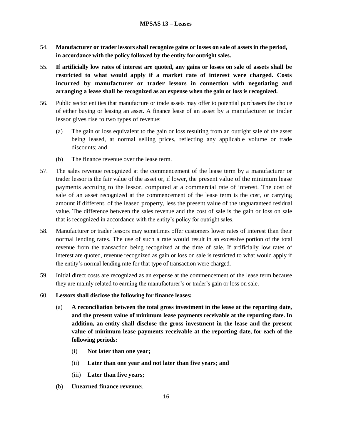- 54. **Manufacturer or trader lessors shall recognize gains or losses on sale of assets in the period, in accordance with the policy followed by the entity for outright sales.**
- 55. **If artificially low rates of interest are quoted, any gains or losses on sale of assets shall be restricted to what would apply if a market rate of interest were charged. Costs incurred by manufacturer or trader lessors in connection with negotiating and arranging a lease shall be recognized as an expense when the gain or loss is recognized.**
- 56. Public sector entities that manufacture or trade assets may offer to potential purchasers the choice of either buying or leasing an asset. A finance lease of an asset by a manufacturer or trader lessor gives rise to two types of revenue:
	- (a) The gain or loss equivalent to the gain or loss resulting from an outright sale of the asset being leased, at normal selling prices, reflecting any applicable volume or trade discounts; and
	- (b) The finance revenue over the lease term.
- 57. The sales revenue recognized at the commencement of the lease term by a manufacturer or trader lessor is the fair value of the asset or, if lower, the present value of the minimum lease payments accruing to the lessor, computed at a commercial rate of interest. The cost of sale of an asset recognized at the commencement of the lease term is the cost, or carrying amount if different, of the leased property, less the present value of the unguaranteed residual value. The difference between the sales revenue and the cost of sale is the gain or loss on sale that is recognized in accordance with the entity's policy for outright sales.
- 58. Manufacturer or trader lessors may sometimes offer customers lower rates of interest than their normal lending rates. The use of such a rate would result in an excessive portion of the total revenue from the transaction being recognized at the time of sale. If artificially low rates of interest are quoted, revenue recognized as gain or loss on sale is restricted to what would apply if the entity's normal lending rate for that type of transaction were charged.
- 59. Initial direct costs are recognized as an expense at the commencement of the lease term because they are mainly related to earning the manufacturer's or trader's gain or loss on sale.
- 60. **Lessors shall disclose the following for finance leases:**
	- (a) **A reconciliation between the total gross investment in the lease at the reporting date, and the present value of minimum lease payments receivable at the reporting date. In addition, an entity shall disclose the gross investment in the lease and the present value of minimum lease payments receivable at the reporting date, for each of the following periods:** 
		- (i) **Not later than one year;**
		- (ii) **Later than one year and not later than five years; and**
		- (iii) **Later than five years;**
	- (b) **Unearned finance revenue;**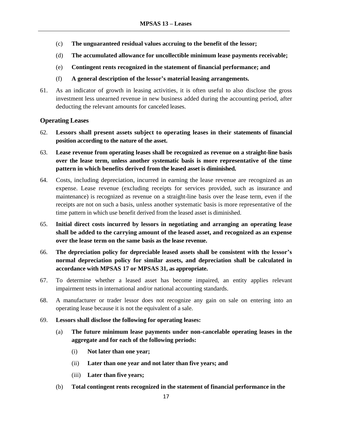- (c) **The unguaranteed residual values accruing to the benefit of the lessor;**
- (d) **The accumulated allowance for uncollectible minimum lease payments receivable;**
- (e) **Contingent rents recognized in the statement of financial performance; and**
- (f) **A general description of the lessor's material leasing arrangements.**
- 61. As an indicator of growth in leasing activities, it is often useful to also disclose the gross investment less unearned revenue in new business added during the accounting period, after deducting the relevant amounts for canceled leases.

#### **Operating Leases**

- 62. **Lessors shall present assets subject to operating leases in their statements of financial position according to the nature of the asset.**
- 63. **Lease revenue from operating leases shall be recognized as revenue on a straight-line basis over the lease term, unless another systematic basis is more representative of the time pattern in which benefits derived from the leased asset is diminished.**
- 64. Costs, including depreciation, incurred in earning the lease revenue are recognized as an expense. Lease revenue (excluding receipts for services provided, such as insurance and maintenance) is recognized as revenue on a straight-line basis over the lease term, even if the receipts are not on such a basis, unless another systematic basis is more representative of the time pattern in which use benefit derived from the leased asset is diminished.
- 65. **Initial direct costs incurred by lessors in negotiating and arranging an operating lease shall be added to the carrying amount of the leased asset, and recognized as an expense over the lease term on the same basis as the lease revenue.**
- 66. **The depreciation policy for depreciable leased assets shall be consistent with the lessor's normal depreciation policy for similar assets, and depreciation shall be calculated in accordance with MPSAS 17 or MPSAS 31, as appropriate.**
- 67. To determine whether a leased asset has become impaired, an entity applies relevant impairment tests in international and/or national accounting standards.
- 68. A manufacturer or trader lessor does not recognize any gain on sale on entering into an operating lease because it is not the equivalent of a sale.
- 69. **Lessors shall disclose the following for operating leases:**
	- (a) **The future minimum lease payments under non-cancelable operating leases in the aggregate and for each of the following periods:**
		- (i) **Not later than one year;**
		- (ii) **Later than one year and not later than five years; and**
		- (iii) **Later than five years;**
	- (b) **Total contingent rents recognized in the statement of financial performance in the**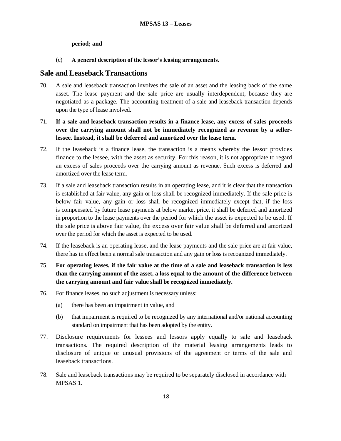#### **period; and**

(c) **A general description of the lessor's leasing arrangements.**

### **Sale and Leaseback Transactions**

- 70. A sale and leaseback transaction involves the sale of an asset and the leasing back of the same asset. The lease payment and the sale price are usually interdependent, because they are negotiated as a package. The accounting treatment of a sale and leaseback transaction depends upon the type of lease involved.
- 71. **If a sale and leaseback transaction results in a finance lease, any excess of sales proceeds over the carrying amount shall not be immediately recognized as revenue by a sellerlessee. Instead, it shall be deferred and amortized over the lease term.**
- 72. If the leaseback is a finance lease, the transaction is a means whereby the lessor provides finance to the lessee, with the asset as security. For this reason, it is not appropriate to regard an excess of sales proceeds over the carrying amount as revenue. Such excess is deferred and amortized over the lease term.
- 73. If a sale and leaseback transaction results in an operating lease, and it is clear that the transaction is established at fair value, any gain or loss shall be recognized immediately. If the sale price is below fair value, any gain or loss shall be recognized immediately except that, if the loss is compensated by future lease payments at below market price, it shall be deferred and amortized in proportion to the lease payments over the period for which the asset is expected to be used. If the sale price is above fair value, the excess over fair value shall be deferred and amortized over the period for which the asset is expected to be used.
- 74. If the leaseback is an operating lease, and the lease payments and the sale price are at fair value, there has in effect been a normal sale transaction and any gain or loss is recognized immediately.
- 75. **For operating leases, if the fair value at the time of a sale and leaseback transaction is less than the carrying amount of the asset, a loss equal to the amount of the difference between the carrying amount and fair value shall be recognized immediately.**
- 76. For finance leases, no such adjustment is necessary unless:
	- (a) there has been an impairment in value, and
	- (b) that impairment is required to be recognized by any international and/or national accounting standard on impairment that has been adopted by the entity.
- 77. Disclosure requirements for lessees and lessors apply equally to sale and leaseback transactions. The required description of the material leasing arrangements leads to disclosure of unique or unusual provisions of the agreement or terms of the sale and leaseback transactions.
- 78. Sale and leaseback transactions may be required to be separately disclosed in accordance with MPSAS 1.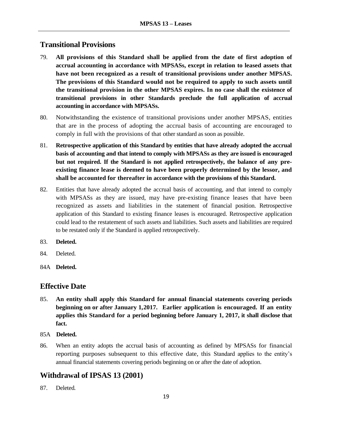# **Transitional Provisions**

- 79. **All provisions of this Standard shall be applied from the date of first adoption of accrual accounting in accordance with MPSASs, except in relation to leased assets that have not been recognized as a result of transitional provisions under another MPSAS. The provisions of this Standard would not be required to apply to such assets until the transitional provision in the other MPSAS expires. In no case shall the existence of transitional provisions in other Standards preclude the full application of accrual accounting in accordance with MPSASs.**
- 80. Notwithstanding the existence of transitional provisions under another MPSAS, entities that are in the process of adopting the accrual basis of accounting are encouraged to comply in full with the provisions of that other standard as soon as possible.
- 81. **Retrospective application of this Standard by entities that have already adopted the accrual basis of accounting and that intend to comply with MPSASs as they are issued is encouraged but not required. If the Standard is not applied retrospectively, the balance of any preexisting finance lease is deemed to have been properly determined by the lessor, and shall be accounted for thereafter in accordance with the provisions of this Standard.**
- 82. Entities that have already adopted the accrual basis of accounting, and that intend to comply with MPSASs as they are issued, may have pre-existing finance leases that have been recognized as assets and liabilities in the statement of financial position. Retrospective application of this Standard to existing finance leases is encouraged. Retrospective application could lead to the restatement of such assets and liabilities. Such assets and liabilities are required to be restated only if the Standard is applied retrospectively.
- 83. **Deleted.**
- 84. Deleted.
- 84A **Deleted.**

## **Effective Date**

- 85. **An entity shall apply this Standard for annual financial statements covering periods beginning on or after January 1,2017. Earlier application is encouraged. If an entity applies this Standard for a period beginning before January 1, 2017, it shall disclose that fact.**
- 85A **Deleted.**
- 86. When an entity adopts the accrual basis of accounting as defined by MPSASs for financial reporting purposes subsequent to this effective date, this Standard applies to the entity's annual financial statements covering periods beginning on or after the date of adoption.

# **Withdrawal of IPSAS 13 (2001)**

87. Deleted*.*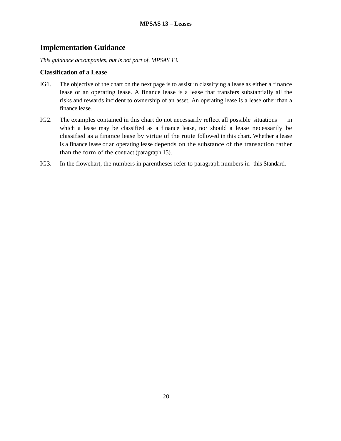# **Implementation Guidance**

*This guidance accompanies, but is not part of, MPSAS 13.* 

#### **Classification of a Lease**

- IG1. The objective of the chart on the next page is to assist in classifying a lease as either a finance lease or an operating lease. A finance lease is a lease that transfers substantially all the risks and rewards incident to ownership of an asset. An operating lease is a lease other than a finance lease.
- IG2. The examples contained in this chart do not necessarily reflect all possible situations in which a lease may be classified as a finance lease, nor should a lease necessarily be classified as a finance lease by virtue of the route followed in this chart. Whether a lease is a finance lease or an operating lease depends on the substance of the transaction rather than the form of the contract (paragraph 15).
- IG3. In the flowchart, the numbers in parentheses refer to paragraph numbers in this Standard.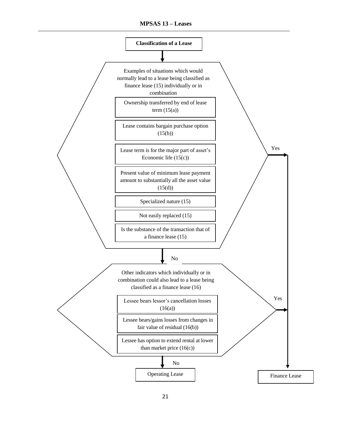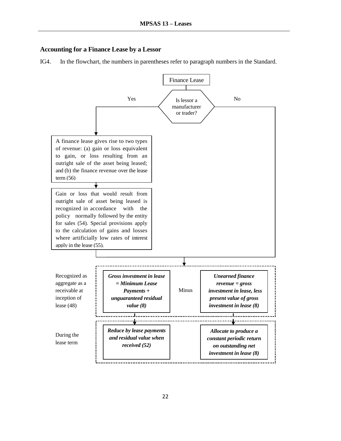#### **Accounting for a Finance Lease by a Lessor**

IG4. In the flowchart, the numbers in parentheses refer to paragraph numbers in the Standard.

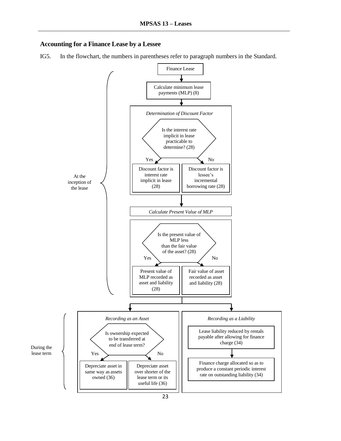## **Accounting for a Finance Lease by a Lessee**

IG5. In the flowchart, the numbers in parentheses refer to paragraph numbers in the Standard.



23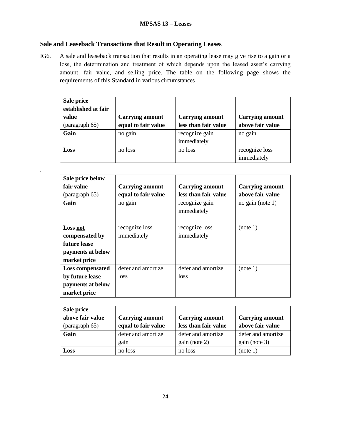# **Sale and Leaseback Transactions that Result in Operating Leases**

.

IG6. A sale and leaseback transaction that results in an operating lease may give rise to a gain or a loss, the determination and treatment of which depends upon the leased asset's carrying amount, fair value, and selling price. The table on the following page shows the requirements of this Standard in various circumstances

| Sale price<br>established at fair<br>value<br>(paragraph 65) | <b>Carrying amount</b><br>equal to fair value | <b>Carrying amount</b><br>less than fair value | <b>Carrying amount</b><br>above fair value |
|--------------------------------------------------------------|-----------------------------------------------|------------------------------------------------|--------------------------------------------|
| Gain                                                         | no gain                                       | recognize gain<br>immediately                  | no gain                                    |
| <b>Loss</b>                                                  | no loss                                       | no loss                                        | recognize loss<br>immediately              |

| Sale price below        |                        |                        |                        |
|-------------------------|------------------------|------------------------|------------------------|
| fair value              | <b>Carrying amount</b> | <b>Carrying amount</b> | <b>Carrying amount</b> |
| (paragraph 65)          | equal to fair value    | less than fair value   | above fair value       |
| Gain                    | no gain                | recognize gain         | no gain (note $1$ )    |
|                         |                        | immediately            |                        |
|                         |                        |                        |                        |
| <b>Loss not</b>         | recognize loss         | recognize loss         | (note 1)               |
| compensated by          | immediately            | immediately            |                        |
| future lease            |                        |                        |                        |
| payments at below       |                        |                        |                        |
| market price            |                        |                        |                        |
| <b>Loss compensated</b> | defer and amortize     | defer and amortize     | (note 1)               |
| by future lease         | loss                   | loss                   |                        |
| payments at below       |                        |                        |                        |
| market price            |                        |                        |                        |

| Sale price<br>above fair value | <b>Carrying amount</b> | <b>Carrying amount</b> | <b>Carrying amount</b> |
|--------------------------------|------------------------|------------------------|------------------------|
| (paragraph 65)                 | equal to fair value    | less than fair value   | above fair value       |
| Gain                           | defer and amortize     | defer and amortize     | defer and amortize     |
|                                | gain                   | gain (note 2)          | gain (note 3)          |
| Loss                           | no loss                | no loss                | (note 1)               |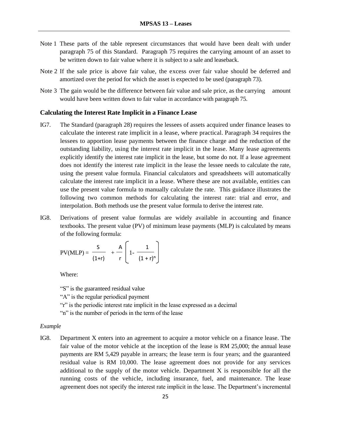- Note 1 These parts of the table represent circumstances that would have been dealt with under paragraph 75 of this Standard. Paragraph 75 requires the carrying amount of an asset to be written down to fair value where it is subject to a sale and leaseback.
- Note 2 If the sale price is above fair value, the excess over fair value should be deferred and amortized over the period for which the asset is expected to be used (paragraph 73).
- Note 3 The gain would be the difference between fair value and sale price, as the carrying amount would have been written down to fair value in accordance with paragraph 75.

#### **Calculating the Interest Rate Implicit in a Finance Lease**

- IG7. The Standard (paragraph 28) requires the lessees of assets acquired under finance leases to calculate the interest rate implicit in a lease, where practical. Paragraph 34 requires the lessees to apportion lease payments between the finance charge and the reduction of the outstanding liability, using the interest rate implicit in the lease. Many lease agreements explicitly identify the interest rate implicit in the lease, but some do not. If a lease agreement does not identify the interest rate implicit in the lease the lessee needs to calculate the rate, using the present value formula. Financial calculators and spreadsheets will automatically calculate the interest rate implicit in a lease. Where these are not available, entities can use the present value formula to manually calculate the rate. This guidance illustrates the following two common methods for calculating the interest rate: trial and error, and interpolation. Both methods use the present value formula to derive the interest rate.
- IG8. Derivations of present value formulas are widely available in accounting and finance textbooks. The present value (PV) of minimum lease payments (MLP) is calculated by means of the following formula:

$$
PV(MLP) = \frac{S}{(1+r)} + \frac{A}{r} \left[ 1 - \frac{1}{(1+r)^{n}} \right]
$$

Where:

"S" is the guaranteed residual value "A" is the regular periodical payment "r" is the periodic interest rate implicit in the lease expressed as a decimal "n" is the number of periods in the term of the lease

#### *Example*

IG8. Department X enters into an agreement to acquire a motor vehicle on a finance lease. The fair value of the motor vehicle at the inception of the lease is RM 25,000; the annual lease payments are RM 5,429 payable in arrears; the lease term is four years; and the guaranteed residual value is RM 10,000. The lease agreement does not provide for any services additional to the supply of the motor vehicle. Department  $X$  is responsible for all the running costs of the vehicle, including insurance, fuel, and maintenance. The lease agreement does not specify the interest rate implicit in the lease. The Department's incremental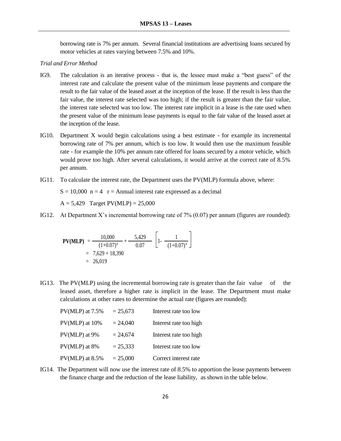borrowing rate is 7% per annum. Several financial institutions are advertising loans secured by motor vehicles at rates varying between 7.5% and 10%.

#### *Trial and Error Method*

- IG9. The calculation is an iterative process that is, the lessee must make a "best guess" of the interest rate and calculate the present value of the minimum lease payments and compare the result to the fair value of the leased asset at the inception of the lease. If the result is less than the fair value, the interest rate selected was too high; if the result is greater than the fair value, the interest rate selected was too low. The interest rate implicit in a lease is the rate used when the present value of the minimum lease payments is equal to the fair value of the leased asset at the inception of the lease.
- IG10. Department X would begin calculations using a best estimate for example its incremental borrowing rate of 7% per annum, which is too low. It would then use the maximum feasible rate - for example the 10% per annum rate offered for loans secured by a motor vehicle, which would prove too high. After several calculations, it would arrive at the correct rate of 8.5% per annum.
- IG11. To calculate the interest rate, the Department uses the PV(MLP) formula above, where:

 $S = 10,000$  n = 4 r = Annual interest rate expressed as a decimal

 $A = 5,429$  Target PV(MLP) = 25,000

IG12. At Department X's incremental borrowing rate of 7% (0.07) per annum (figures are rounded):

$$
PV(MLP) = \frac{10,000}{(1+0.07)^4} + \frac{5,429}{0.07} \left[ 1 - \frac{1}{(1+0.07)^4} \right]
$$
  
= 7,629 + 18,390  
= 26,019

IG13. The PV(MLP) using the incremental borrowing rate is greater than the fair value of the leased asset, therefore a higher rate is implicit in the lease. The Department must make calculations at other rates to determine the actual rate (figures are rounded):

| $PV(MLP)$ at $7.5\%$ | $= 25,673$ | Interest rate too low  |
|----------------------|------------|------------------------|
| $PV(MLP)$ at $10\%$  | $= 24,040$ | Interest rate too high |
| PV(MLP) at 9%        | $= 24,674$ | Interest rate too high |
| PV(MLP) at 8%        | $= 25,333$ | Interest rate too low  |
| $PV(MLP)$ at 8.5%    | $= 25,000$ | Correct interest rate  |

IG14. The Department will now use the interest rate of 8.5% to apportion the lease payments between the finance charge and the reduction of the lease liability, as shown in the table below.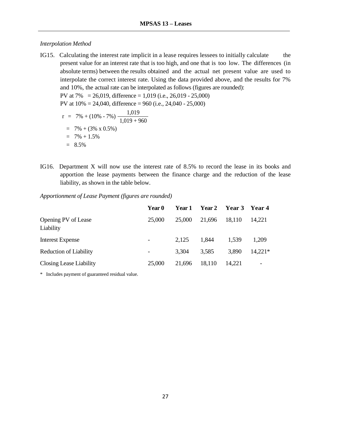#### *Interpolation Method*

IG15. Calculating the interest rate implicit in a lease requires lessees to initially calculate the present value for an interest rate that is too high, and one that is too low. The differences (in absolute terms) between the results obtained and the actual net present value are used to interpolate the correct interest rate. Using the data provided above, and the results for 7% and 10%, the actual rate can be interpolated as follows (figures are rounded):

PV at  $7\% = 26,019$ , difference = 1,019 (i.e., 26,019 - 25,000)

PV at 10% = 24,040, difference = 960 (i.e., 24,040 - 25,000)

- 1,019  $r = 7\% + (10\% - 7\%) \frac{1,019}{1,019 + 960}$  $= 7\% + (3\% \times 0.5\%)$  $= 7\% + 1.5\%$  $= 8.5\%$
- IG16. Department X will now use the interest rate of 8.5% to record the lease in its books and apportion the lease payments between the finance charge and the reduction of the lease liability, as shown in the table below.

*Apportionment of Lease Payment (figures are rounded)*

|                                  | Year 0                   | Year 1 |        | Year 2 Year 3 Year 4 |         |
|----------------------------------|--------------------------|--------|--------|----------------------|---------|
| Opening PV of Lease<br>Liability | 25,000                   | 25,000 | 21,696 | 18,110               | 14.221  |
| Interest Expense                 | $\overline{\phantom{0}}$ | 2,125  | 1.844  | 1.539                | 1.209   |
| <b>Reduction of Liability</b>    | $\overline{\phantom{a}}$ | 3,304  | 3,585  | 3.890                | 14,221* |
| Closing Lease Liability          | 25,000                   | 21,696 | 18,110 | 14,221               |         |

\* Includes payment of guaranteed residual value.